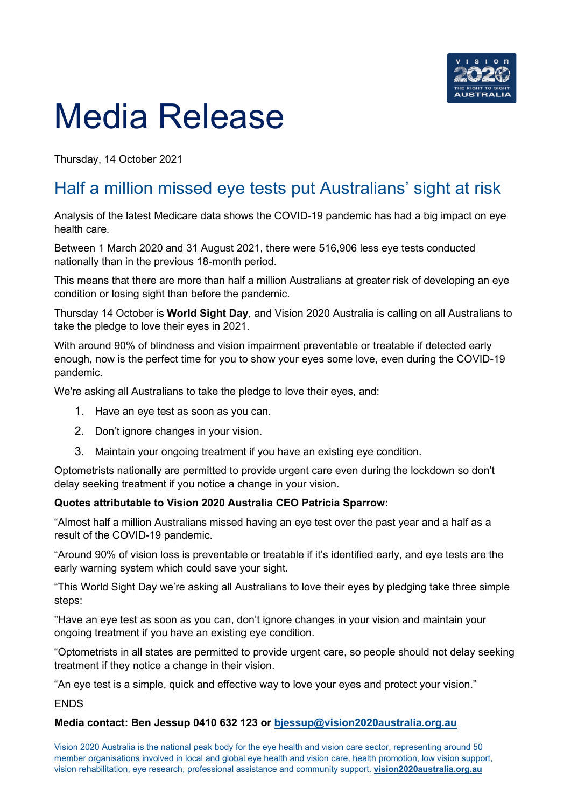

# Media Release

Thursday, 14 October 2021

# Half a million missed eye tests put Australians' sight at risk

Analysis of the latest Medicare data shows the COVID-19 pandemic has had a big impact on eye health care.

Between 1 March 2020 and 31 August 2021, there were 516,906 less eye tests conducted nationally than in the previous 18-month period.

This means that there are more than half a million Australians at greater risk of developing an eye condition or losing sight than before the pandemic.

Thursday 14 October is **World Sight Day**, and Vision 2020 Australia is calling on all Australians to take the pledge to love their eyes in 2021.

With around 90% of blindness and vision impairment preventable or treatable if detected early enough, now is the perfect time for you to show your eyes some love, even during the COVID-19 pandemic.

We're asking all Australians to take the pledge to love their eyes, and:

- 1. Have an eye test as soon as you can.
- 2. Don't ignore changes in your vision.
- 3. Maintain your ongoing treatment if you have an existing eye condition.

Optometrists nationally are permitted to provide urgent care even during the lockdown so don't delay seeking treatment if you notice a change in your vision.

### **Quotes attributable to Vision 2020 Australia CEO Patricia Sparrow:**

"Almost half a million Australians missed having an eye test over the past year and a half as a result of the COVID-19 pandemic.

"Around 90% of vision loss is preventable or treatable if it's identified early, and eye tests are the early warning system which could save your sight.

"This World Sight Day we're asking all Australians to love their eyes by pledging take three simple steps:

"Have an eye test as soon as you can, don't ignore changes in your vision and maintain your ongoing treatment if you have an existing eye condition.

"Optometrists in all states are permitted to provide urgent care, so people should not delay seeking treatment if they notice a change in their vision.

"An eye test is a simple, quick and effective way to love your eyes and protect your vision."

**FNDS** 

#### **Media contact: Ben Jessup 0410 632 123 or [bjessup@vision2020australia.org.au](mailto:bjessup@vision2020australia.org.au)**

Vision 2020 Australia is the national peak body for the eye health and vision care sector, representing around 50 member organisations involved in local and global eye health and vision care, health promotion, low vision support, vision rehabilitation, eye research, professional assistance and community support. **[vision2020australia.org.au](http://www.vision2020australia.org.au/)**